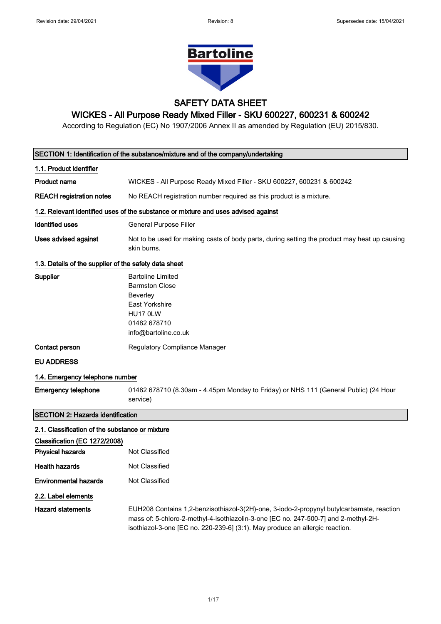

# SAFETY DATA SHEET

# WICKES - All Purpose Ready Mixed Filler - SKU 600227, 600231 & 600242

According to Regulation (EC) No 1907/2006 Annex II as amended by Regulation (EU) 2015/830.

|                                                       | SECTION 1: Identification of the substance/mixture and of the company/undertaking                                                                                                                                                                               |
|-------------------------------------------------------|-----------------------------------------------------------------------------------------------------------------------------------------------------------------------------------------------------------------------------------------------------------------|
| 1.1. Product identifier                               |                                                                                                                                                                                                                                                                 |
| <b>Product name</b>                                   | WICKES - All Purpose Ready Mixed Filler - SKU 600227, 600231 & 600242                                                                                                                                                                                           |
| <b>REACH registration notes</b>                       | No REACH registration number required as this product is a mixture.                                                                                                                                                                                             |
|                                                       | 1.2. Relevant identified uses of the substance or mixture and uses advised against                                                                                                                                                                              |
| <b>Identified uses</b>                                | General Purpose Filler                                                                                                                                                                                                                                          |
| Uses advised against                                  | Not to be used for making casts of body parts, during setting the product may heat up causing<br>skin burns.                                                                                                                                                    |
| 1.3. Details of the supplier of the safety data sheet |                                                                                                                                                                                                                                                                 |
| Supplier                                              | <b>Bartoline Limited</b><br><b>Barmston Close</b><br>Beverley<br>East Yorkshire<br>HU17 0LW<br>01482 678710<br>info@bartoline.co.uk                                                                                                                             |
| Contact person                                        | <b>Regulatory Compliance Manager</b>                                                                                                                                                                                                                            |
| <b>EU ADDRESS</b>                                     |                                                                                                                                                                                                                                                                 |
| 1.4. Emergency telephone number                       |                                                                                                                                                                                                                                                                 |
| <b>Emergency telephone</b>                            | 01482 678710 (8.30am - 4.45pm Monday to Friday) or NHS 111 (General Public) (24 Hour<br>service)                                                                                                                                                                |
| <b>SECTION 2: Hazards identification</b>              |                                                                                                                                                                                                                                                                 |
| 2.1. Classification of the substance or mixture       |                                                                                                                                                                                                                                                                 |
| Classification (EC 1272/2008)                         |                                                                                                                                                                                                                                                                 |
| <b>Physical hazards</b>                               | <b>Not Classified</b>                                                                                                                                                                                                                                           |
| <b>Health hazards</b>                                 | Not Classified                                                                                                                                                                                                                                                  |
| <b>Environmental hazards</b>                          | Not Classified                                                                                                                                                                                                                                                  |
| 2.2. Label elements                                   |                                                                                                                                                                                                                                                                 |
| <b>Hazard statements</b>                              | EUH208 Contains 1,2-benzisothiazol-3(2H)-one, 3-iodo-2-propynyl butylcarbamate, reaction<br>mass of: 5-chloro-2-methyl-4-isothiazolin-3-one [EC no. 247-500-7] and 2-methyl-2H-<br>isothiazol-3-one [EC no. 220-239-6] (3:1). May produce an allergic reaction. |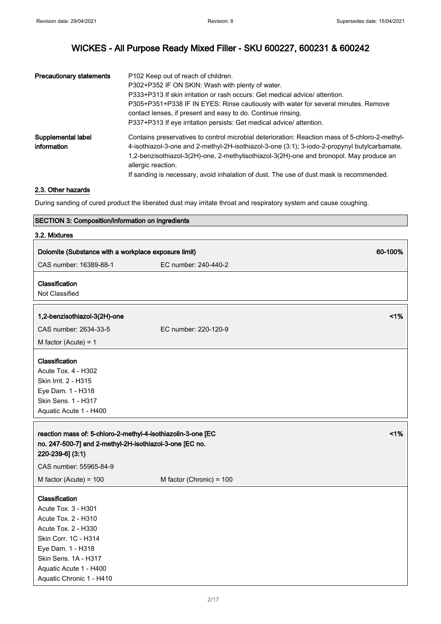| <b>Precautionary statements</b>   | P102 Keep out of reach of children.<br>P302+P352 IF ON SKIN: Wash with plenty of water.<br>P333+P313 If skin irritation or rash occurs: Get medical advice/ attention.<br>P305+P351+P338 IF IN EYES: Rinse cautiously with water for several minutes. Remove<br>contact lenses, if present and easy to do. Continue rinsing.<br>P337+P313 If eye irritation persists: Get medical advice/attention.        |
|-----------------------------------|------------------------------------------------------------------------------------------------------------------------------------------------------------------------------------------------------------------------------------------------------------------------------------------------------------------------------------------------------------------------------------------------------------|
| Supplemental label<br>information | Contains preservatives to control microbial deterioration: Reaction mass of 5-chloro-2-methyl-<br>4-isothiazol-3-one and 2-methyl-2H-isothiazol-3-one (3:1); 3-iodo-2-propynyl butylcarbamate,<br>1,2-benzisothiazol-3(2H)-one, 2-methylisothiazol-3(2H)-one and bronopol. May produce an<br>allergic reaction.<br>If sanding is necessary, avoid inhalation of dust. The use of dust mask is recommended. |

### 2.3. Other hazards

During sanding of cured product the liberated dust may irritate throat and respiratory system and cause coughing.

### SECTION 3: Composition/information on ingredients

| 3.2. Mixtures                                                                                                                                                                                                  |                          |         |
|----------------------------------------------------------------------------------------------------------------------------------------------------------------------------------------------------------------|--------------------------|---------|
| Dolomite (Substance with a workplace exposure limit)                                                                                                                                                           |                          | 60-100% |
| CAS number: 16389-88-1                                                                                                                                                                                         | EC number: 240-440-2     |         |
| Classification<br>Not Classified                                                                                                                                                                               |                          |         |
| 1,2-benzisothiazol-3(2H)-one                                                                                                                                                                                   |                          | 1%      |
| CAS number: 2634-33-5                                                                                                                                                                                          | EC number: 220-120-9     |         |
| M factor (Acute) = $1$                                                                                                                                                                                         |                          |         |
| Classification<br>Acute Tox. 4 - H302<br>Skin Irrit. 2 - H315<br>Eye Dam. 1 - H318<br>Skin Sens. 1 - H317<br>Aquatic Acute 1 - H400                                                                            |                          |         |
| reaction mass of: 5-chloro-2-methyl-4-isothiazolin-3-one [EC<br>no. 247-500-7] and 2-methyl-2H-isothiazol-3-one [EC no.<br>220-239-6] (3:1)<br>CAS number: 55965-84-9                                          |                          | 1%      |
| M factor (Acute) = $100$                                                                                                                                                                                       | M factor (Chronic) = 100 |         |
| Classification<br>Acute Tox. 3 - H301<br>Acute Tox. 2 - H310<br>Acute Tox. 2 - H330<br>Skin Corr. 1C - H314<br>Eye Dam. 1 - H318<br>Skin Sens. 1A - H317<br>Aquatic Acute 1 - H400<br>Aquatic Chronic 1 - H410 |                          |         |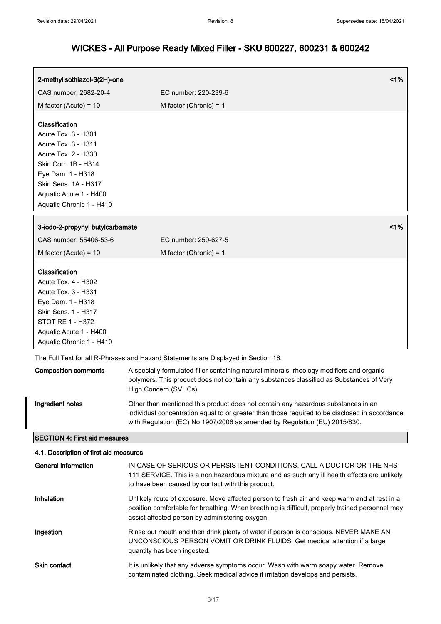$\overline{a}$ 

| 2-methylisothiazol-3(2H)-one               | 1%                                                                                                                                                                                                                                                               |
|--------------------------------------------|------------------------------------------------------------------------------------------------------------------------------------------------------------------------------------------------------------------------------------------------------------------|
| CAS number: 2682-20-4                      | EC number: 220-239-6                                                                                                                                                                                                                                             |
| M factor (Acute) = $10$                    | M factor (Chronic) = $1$                                                                                                                                                                                                                                         |
| Classification                             |                                                                                                                                                                                                                                                                  |
| Acute Tox. 3 - H301<br>Acute Tox. 3 - H311 |                                                                                                                                                                                                                                                                  |
| Acute Tox. 2 - H330                        |                                                                                                                                                                                                                                                                  |
| Skin Corr. 1B - H314                       |                                                                                                                                                                                                                                                                  |
| Eye Dam. 1 - H318                          |                                                                                                                                                                                                                                                                  |
| Skin Sens. 1A - H317                       |                                                                                                                                                                                                                                                                  |
| Aquatic Acute 1 - H400                     |                                                                                                                                                                                                                                                                  |
| Aquatic Chronic 1 - H410                   |                                                                                                                                                                                                                                                                  |
| 3-iodo-2-propynyl butylcarbamate           | 1%                                                                                                                                                                                                                                                               |
| CAS number: 55406-53-6                     | EC number: 259-627-5                                                                                                                                                                                                                                             |
| M factor (Acute) = $10$                    | M factor (Chronic) = $1$                                                                                                                                                                                                                                         |
| Classification                             |                                                                                                                                                                                                                                                                  |
| Acute Tox. 4 - H302                        |                                                                                                                                                                                                                                                                  |
| Acute Tox. 3 - H331                        |                                                                                                                                                                                                                                                                  |
| Eye Dam. 1 - H318                          |                                                                                                                                                                                                                                                                  |
| Skin Sens. 1 - H317<br>STOT RE 1 - H372    |                                                                                                                                                                                                                                                                  |
| Aquatic Acute 1 - H400                     |                                                                                                                                                                                                                                                                  |
| Aquatic Chronic 1 - H410                   |                                                                                                                                                                                                                                                                  |
|                                            | The Full Text for all R-Phrases and Hazard Statements are Displayed in Section 16.                                                                                                                                                                               |
| <b>Composition comments</b>                | A specially formulated filler containing natural minerals, rheology modifiers and organic<br>polymers. This product does not contain any substances classified as Substances of Very<br>High Concern (SVHCs).                                                    |
| Ingredient notes                           | Other than mentioned this product does not contain any hazardous substances in an<br>individual concentration equal to or greater than those required to be disclosed in accordance<br>with Regulation (EC) No 1907/2006 as amended by Regulation (EU) 2015/830. |
| <b>SECTION 4: First aid measures</b>       |                                                                                                                                                                                                                                                                  |
| 4.1. Description of first aid measures     |                                                                                                                                                                                                                                                                  |
| <b>General information</b>                 | IN CASE OF SERIOUS OR PERSISTENT CONDITIONS, CALL A DOCTOR OR THE NHS<br>111 SERVICE. This is a non hazardous mixture and as such any ill health effects are unlikely<br>to have been caused by contact with this product.                                       |
| Inhalation                                 | Unlikely route of exposure. Move affected person to fresh air and keep warm and at rest in a<br>position comfortable for breathing. When breathing is difficult, properly trained personnel may<br>assist affected person by administering oxygen.               |
| Ingestion                                  | Rinse out mouth and then drink plenty of water if person is conscious. NEVER MAKE AN<br>UNCONSCIOUS PERSON VOMIT OR DRINK FLUIDS. Get medical attention if a large<br>quantity has been ingested.                                                                |
| <b>Skin contact</b>                        | It is unlikely that any adverse symptoms occur. Wash with warm soapy water. Remove<br>contaminated clothing. Seek medical advice if irritation develops and persists.                                                                                            |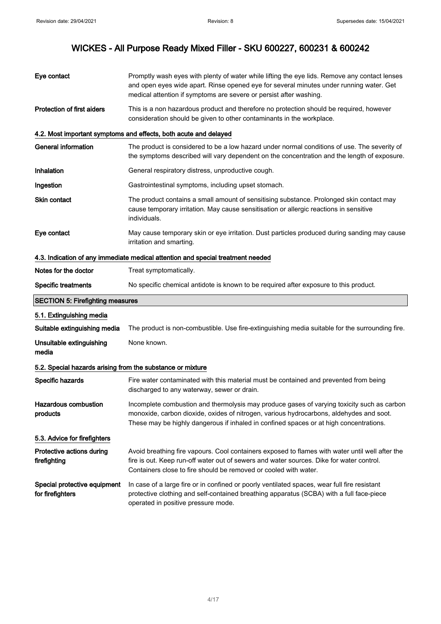| Eye contact                                                | Promptly wash eyes with plenty of water while lifting the eye lids. Remove any contact lenses<br>and open eyes wide apart. Rinse opened eye for several minutes under running water. Get<br>medical attention if symptoms are severe or persist after washing.                  |  |
|------------------------------------------------------------|---------------------------------------------------------------------------------------------------------------------------------------------------------------------------------------------------------------------------------------------------------------------------------|--|
| <b>Protection of first aiders</b>                          | This is a non hazardous product and therefore no protection should be required, however<br>consideration should be given to other contaminants in the workplace.                                                                                                                |  |
|                                                            | 4.2. Most important symptoms and effects, both acute and delayed                                                                                                                                                                                                                |  |
| <b>General information</b>                                 | The product is considered to be a low hazard under normal conditions of use. The severity of<br>the symptoms described will vary dependent on the concentration and the length of exposure.                                                                                     |  |
| Inhalation                                                 | General respiratory distress, unproductive cough.                                                                                                                                                                                                                               |  |
| Ingestion                                                  | Gastrointestinal symptoms, including upset stomach.                                                                                                                                                                                                                             |  |
| <b>Skin contact</b>                                        | The product contains a small amount of sensitising substance. Prolonged skin contact may<br>cause temporary irritation. May cause sensitisation or allergic reactions in sensitive<br>individuals.                                                                              |  |
| Eye contact                                                | May cause temporary skin or eye irritation. Dust particles produced during sanding may cause<br>irritation and smarting.                                                                                                                                                        |  |
|                                                            | 4.3. Indication of any immediate medical attention and special treatment needed                                                                                                                                                                                                 |  |
| Notes for the doctor                                       | Treat symptomatically.                                                                                                                                                                                                                                                          |  |
| <b>Specific treatments</b>                                 | No specific chemical antidote is known to be required after exposure to this product.                                                                                                                                                                                           |  |
|                                                            |                                                                                                                                                                                                                                                                                 |  |
| <b>SECTION 5: Firefighting measures</b>                    |                                                                                                                                                                                                                                                                                 |  |
| 5.1. Extinguishing media                                   |                                                                                                                                                                                                                                                                                 |  |
| Suitable extinguishing media                               | The product is non-combustible. Use fire-extinguishing media suitable for the surrounding fire.                                                                                                                                                                                 |  |
| Unsuitable extinguishing<br>media                          | None known.                                                                                                                                                                                                                                                                     |  |
| 5.2. Special hazards arising from the substance or mixture |                                                                                                                                                                                                                                                                                 |  |
| Specific hazards                                           | Fire water contaminated with this material must be contained and prevented from being<br>discharged to any waterway, sewer or drain.                                                                                                                                            |  |
| <b>Hazardous combustion</b><br>products                    | Incomplete combustion and thermolysis may produce gases of varying toxicity such as carbon<br>monoxide, carbon dioxide, oxides of nitrogen, various hydrocarbons, aldehydes and soot.<br>These may be highly dangerous if inhaled in confined spaces or at high concentrations. |  |
| 5.3. Advice for firefighters                               |                                                                                                                                                                                                                                                                                 |  |
| Protective actions during<br>firefighting                  | Avoid breathing fire vapours. Cool containers exposed to flames with water until well after the<br>fire is out. Keep run-off water out of sewers and water sources. Dike for water control.<br>Containers close to fire should be removed or cooled with water.                 |  |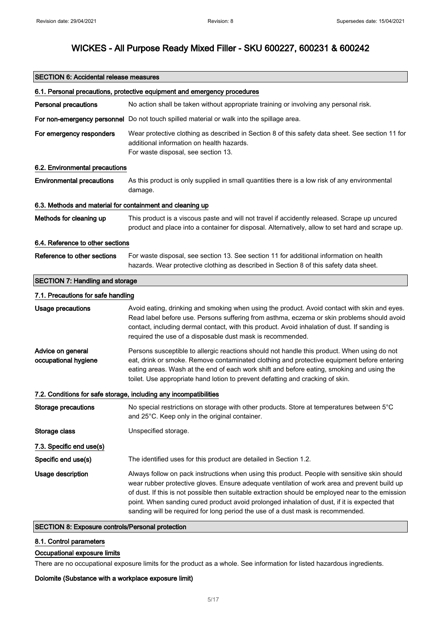| <b>SECTION 6: Accidental release measures</b>             |                                                                                                                                                                                                                                                                                                                                                                                                                                                                                       |  |
|-----------------------------------------------------------|---------------------------------------------------------------------------------------------------------------------------------------------------------------------------------------------------------------------------------------------------------------------------------------------------------------------------------------------------------------------------------------------------------------------------------------------------------------------------------------|--|
|                                                           | 6.1. Personal precautions, protective equipment and emergency procedures                                                                                                                                                                                                                                                                                                                                                                                                              |  |
| <b>Personal precautions</b>                               | No action shall be taken without appropriate training or involving any personal risk.                                                                                                                                                                                                                                                                                                                                                                                                 |  |
|                                                           | For non-emergency personnel Do not touch spilled material or walk into the spillage area.                                                                                                                                                                                                                                                                                                                                                                                             |  |
| For emergency responders                                  | Wear protective clothing as described in Section 8 of this safety data sheet. See section 11 for<br>additional information on health hazards.<br>For waste disposal, see section 13.                                                                                                                                                                                                                                                                                                  |  |
| 6.2. Environmental precautions                            |                                                                                                                                                                                                                                                                                                                                                                                                                                                                                       |  |
| <b>Environmental precautions</b>                          | As this product is only supplied in small quantities there is a low risk of any environmental<br>damage.                                                                                                                                                                                                                                                                                                                                                                              |  |
| 6.3. Methods and material for containment and cleaning up |                                                                                                                                                                                                                                                                                                                                                                                                                                                                                       |  |
| Methods for cleaning up                                   | This product is a viscous paste and will not travel if accidently released. Scrape up uncured<br>product and place into a container for disposal. Alternatively, allow to set hard and scrape up.                                                                                                                                                                                                                                                                                     |  |
| 6.4. Reference to other sections                          |                                                                                                                                                                                                                                                                                                                                                                                                                                                                                       |  |
| Reference to other sections                               | For waste disposal, see section 13. See section 11 for additional information on health<br>hazards. Wear protective clothing as described in Section 8 of this safety data sheet.                                                                                                                                                                                                                                                                                                     |  |
| <b>SECTION 7: Handling and storage</b>                    |                                                                                                                                                                                                                                                                                                                                                                                                                                                                                       |  |
| 7.1. Precautions for safe handling                        |                                                                                                                                                                                                                                                                                                                                                                                                                                                                                       |  |
| <b>Usage precautions</b>                                  | Avoid eating, drinking and smoking when using the product. Avoid contact with skin and eyes.<br>Read label before use. Persons suffering from asthma, eczema or skin problems should avoid<br>contact, including dermal contact, with this product. Avoid inhalation of dust. If sanding is<br>required the use of a disposable dust mask is recommended.                                                                                                                             |  |
| Advice on general<br>occupational hygiene                 | Persons susceptible to allergic reactions should not handle this product. When using do not<br>eat, drink or smoke. Remove contaminated clothing and protective equipment before entering<br>eating areas. Wash at the end of each work shift and before eating, smoking and using the<br>toilet. Use appropriate hand lotion to prevent defatting and cracking of skin.                                                                                                              |  |
|                                                           | 7.2. Conditions for safe storage, including any incompatibilities                                                                                                                                                                                                                                                                                                                                                                                                                     |  |
| <b>Storage precautions</b>                                | No special restrictions on storage with other products. Store at temperatures between 5°C<br>and 25°C. Keep only in the original container.                                                                                                                                                                                                                                                                                                                                           |  |
| Storage class                                             | Unspecified storage.                                                                                                                                                                                                                                                                                                                                                                                                                                                                  |  |
| 7.3. Specific end use(s)                                  |                                                                                                                                                                                                                                                                                                                                                                                                                                                                                       |  |
| Specific end use(s)                                       | The identified uses for this product are detailed in Section 1.2.                                                                                                                                                                                                                                                                                                                                                                                                                     |  |
| Usage description                                         | Always follow on pack instructions when using this product. People with sensitive skin should<br>wear rubber protective gloves. Ensure adequate ventilation of work area and prevent build up<br>of dust. If this is not possible then suitable extraction should be employed near to the emission<br>point. When sanding cured product avoid prolonged inhalation of dust, if it is expected that<br>sanding will be required for long period the use of a dust mask is recommended. |  |

# SECTION 8: Exposure controls/Personal protection

# 8.1. Control parameters

### Occupational exposure limits

There are no occupational exposure limits for the product as a whole. See information for listed hazardous ingredients.

### Dolomite (Substance with a workplace exposure limit)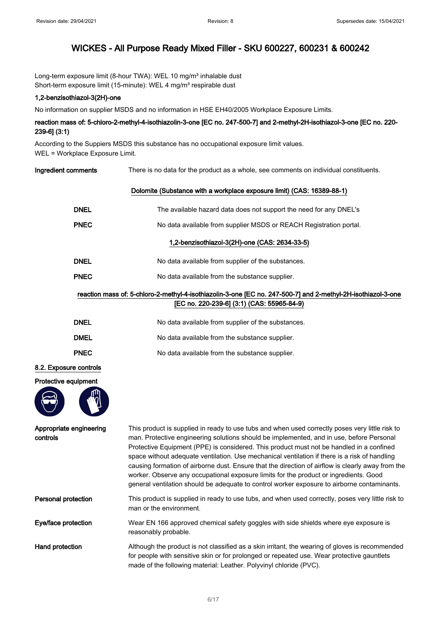Long-term exposure limit (8-hour TWA): WEL 10 mg/m<sup>3</sup> inhalable dust Short-term exposure limit (15-minute): WEL 4 mg/m<sup>3</sup> respirable dust

#### 1,2-benzisothiazol-3(2H)-one

No information on supplier MSDS and no information in HSE EH40/2005 Workplace Exposure Limits.

## reaction mass of: 5-chloro-2-methyl-4-isothiazolin-3-one [EC no. 247-500-7] and 2-methyl-2H-isothiazol-3-one [EC no. 220- 239-6] (3:1)

According to the Suppiers MSDS this substance has no occupational exposure limit values. WEL = Workplace Exposure Limit.

Ingredient comments There is no data for the product as a whole, see comments on individual constituents.

|                                     | Dolomite (Substance with a workplace exposure limit) (CAS: 16389-88-1)                                                                                                                                                                                                                                                                                                                                                                                                                                                                                                                                                                                                                |
|-------------------------------------|---------------------------------------------------------------------------------------------------------------------------------------------------------------------------------------------------------------------------------------------------------------------------------------------------------------------------------------------------------------------------------------------------------------------------------------------------------------------------------------------------------------------------------------------------------------------------------------------------------------------------------------------------------------------------------------|
| <b>DNEL</b>                         | The available hazard data does not support the need for any DNEL's                                                                                                                                                                                                                                                                                                                                                                                                                                                                                                                                                                                                                    |
| <b>PNEC</b>                         | No data available from supplier MSDS or REACH Registration portal.                                                                                                                                                                                                                                                                                                                                                                                                                                                                                                                                                                                                                    |
|                                     | 1,2-benzisothiazol-3(2H)-one (CAS: 2634-33-5)                                                                                                                                                                                                                                                                                                                                                                                                                                                                                                                                                                                                                                         |
| <b>DNEL</b>                         | No data available from supplier of the substances.                                                                                                                                                                                                                                                                                                                                                                                                                                                                                                                                                                                                                                    |
| <b>PNEC</b>                         | No data available from the substance supplier.                                                                                                                                                                                                                                                                                                                                                                                                                                                                                                                                                                                                                                        |
|                                     | reaction mass of: 5-chloro-2-methyl-4-isothiazolin-3-one [EC no. 247-500-7] and 2-methyl-2H-isothiazol-3-one<br>[EC no. 220-239-6] (3:1) (CAS: 55965-84-9)                                                                                                                                                                                                                                                                                                                                                                                                                                                                                                                            |
| <b>DNEL</b>                         | No data available from supplier of the substances.                                                                                                                                                                                                                                                                                                                                                                                                                                                                                                                                                                                                                                    |
| <b>DMEL</b>                         | No data available from the substance supplier.                                                                                                                                                                                                                                                                                                                                                                                                                                                                                                                                                                                                                                        |
| <b>PNEC</b>                         | No data available from the substance supplier.                                                                                                                                                                                                                                                                                                                                                                                                                                                                                                                                                                                                                                        |
| 8.2. Exposure controls              |                                                                                                                                                                                                                                                                                                                                                                                                                                                                                                                                                                                                                                                                                       |
| Protective equipment                |                                                                                                                                                                                                                                                                                                                                                                                                                                                                                                                                                                                                                                                                                       |
| Appropriate engineering<br>controls | This product is supplied in ready to use tubs and when used correctly poses very little risk to<br>man. Protective engineering solutions should be implemented, and in use, before Personal<br>Protective Equipment (PPE) is considered. This product must not be handled in a confined<br>space without adequate ventilation. Use mechanical ventilation if there is a risk of handling<br>causing formation of airborne dust. Ensure that the direction of airflow is clearly away from the<br>worker. Observe any occupational exposure limits for the product or ingredients. Good<br>general ventilation should be adequate to control worker exposure to airborne contaminants. |
| Personal protection                 | This product is supplied in ready to use tubs, and when used correctly, poses very little risk to<br>man or the environment.                                                                                                                                                                                                                                                                                                                                                                                                                                                                                                                                                          |
| Eye/face protection                 | Wear EN 166 approved chemical safety goggles with side shields where eye exposure is<br>reasonably probable.                                                                                                                                                                                                                                                                                                                                                                                                                                                                                                                                                                          |
| Hand protection                     | Although the product is not classified as a skin irritant, the wearing of gloves is recommended<br>for people with sensitive skin or for prolonged or repeated use. Wear protective gauntlets<br>made of the following material: Leather. Polyvinyl chloride (PVC).                                                                                                                                                                                                                                                                                                                                                                                                                   |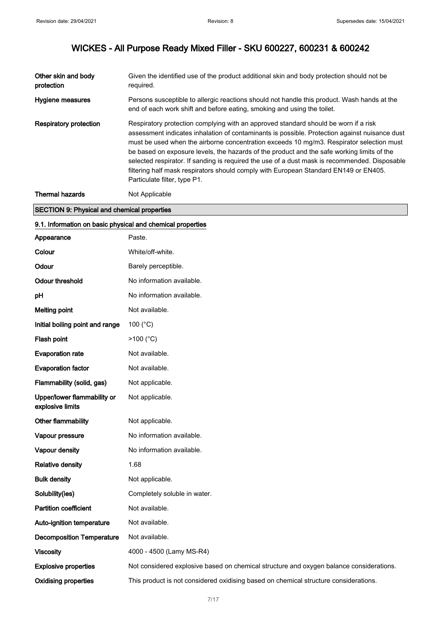| Other skin and body<br>protection                          | Given the identified use of the product additional skin and body protection should not be<br>required.                                                                                                                                                                                                                                                                                                                                                                                                                                                                                                  |
|------------------------------------------------------------|---------------------------------------------------------------------------------------------------------------------------------------------------------------------------------------------------------------------------------------------------------------------------------------------------------------------------------------------------------------------------------------------------------------------------------------------------------------------------------------------------------------------------------------------------------------------------------------------------------|
| Hygiene measures                                           | Persons susceptible to allergic reactions should not handle this product. Wash hands at the<br>end of each work shift and before eating, smoking and using the toilet.                                                                                                                                                                                                                                                                                                                                                                                                                                  |
| <b>Respiratory protection</b>                              | Respiratory protection complying with an approved standard should be worn if a risk<br>assessment indicates inhalation of contaminants is possible. Protection against nuisance dust<br>must be used when the airborne concentration exceeds 10 mg/m3. Respirator selection must<br>be based on exposure levels, the hazards of the product and the safe working limits of the<br>selected respirator. If sanding is required the use of a dust mask is recommended. Disposable<br>filtering half mask respirators should comply with European Standard EN149 or EN405.<br>Particulate filter, type P1. |
| <b>Thermal hazards</b>                                     | Not Applicable                                                                                                                                                                                                                                                                                                                                                                                                                                                                                                                                                                                          |
| <b>SECTION 9: Physical and chemical properties</b>         |                                                                                                                                                                                                                                                                                                                                                                                                                                                                                                                                                                                                         |
| 9.1. Information on basic physical and chemical properties |                                                                                                                                                                                                                                                                                                                                                                                                                                                                                                                                                                                                         |
| Appearance                                                 | Paste.                                                                                                                                                                                                                                                                                                                                                                                                                                                                                                                                                                                                  |
| Colour                                                     | White/off-white.                                                                                                                                                                                                                                                                                                                                                                                                                                                                                                                                                                                        |
| Odour                                                      | Barely perceptible.                                                                                                                                                                                                                                                                                                                                                                                                                                                                                                                                                                                     |
| <b>Odour threshold</b>                                     | No information available.                                                                                                                                                                                                                                                                                                                                                                                                                                                                                                                                                                               |
| рH                                                         | No information available.                                                                                                                                                                                                                                                                                                                                                                                                                                                                                                                                                                               |
| <b>Melting point</b>                                       | Not available.                                                                                                                                                                                                                                                                                                                                                                                                                                                                                                                                                                                          |
| Initial boiling point and range                            | 100 $(^{\circ}C)$                                                                                                                                                                                                                                                                                                                                                                                                                                                                                                                                                                                       |
| Flash point                                                | $>100$ (°C)                                                                                                                                                                                                                                                                                                                                                                                                                                                                                                                                                                                             |
| <b>Evaporation rate</b>                                    | Not available.                                                                                                                                                                                                                                                                                                                                                                                                                                                                                                                                                                                          |
| <b>Evaporation factor</b>                                  | Not available.                                                                                                                                                                                                                                                                                                                                                                                                                                                                                                                                                                                          |
| Flammability (solid, gas)                                  | Not applicable.                                                                                                                                                                                                                                                                                                                                                                                                                                                                                                                                                                                         |
| Upper/lower flammability or<br>explosive limits            | Not applicable.                                                                                                                                                                                                                                                                                                                                                                                                                                                                                                                                                                                         |
| Other flammability                                         | Not applicable.                                                                                                                                                                                                                                                                                                                                                                                                                                                                                                                                                                                         |
| Vapour pressure                                            | No information available.                                                                                                                                                                                                                                                                                                                                                                                                                                                                                                                                                                               |
| Vapour density                                             | No information available.                                                                                                                                                                                                                                                                                                                                                                                                                                                                                                                                                                               |
| <b>Relative density</b>                                    | 1.68                                                                                                                                                                                                                                                                                                                                                                                                                                                                                                                                                                                                    |
| <b>Bulk density</b>                                        | Not applicable.                                                                                                                                                                                                                                                                                                                                                                                                                                                                                                                                                                                         |
| Solubility(ies)                                            | Completely soluble in water.                                                                                                                                                                                                                                                                                                                                                                                                                                                                                                                                                                            |
| <b>Partition coefficient</b>                               | Not available.                                                                                                                                                                                                                                                                                                                                                                                                                                                                                                                                                                                          |
| Auto-ignition temperature                                  | Not available.                                                                                                                                                                                                                                                                                                                                                                                                                                                                                                                                                                                          |
| <b>Decomposition Temperature</b>                           | Not available.                                                                                                                                                                                                                                                                                                                                                                                                                                                                                                                                                                                          |
| <b>Viscosity</b>                                           | 4000 - 4500 (Lamy MS-R4)                                                                                                                                                                                                                                                                                                                                                                                                                                                                                                                                                                                |
| <b>Explosive properties</b>                                | Not considered explosive based on chemical structure and oxygen balance considerations.                                                                                                                                                                                                                                                                                                                                                                                                                                                                                                                 |
| <b>Oxidising properties</b>                                | This product is not considered oxidising based on chemical structure considerations.                                                                                                                                                                                                                                                                                                                                                                                                                                                                                                                    |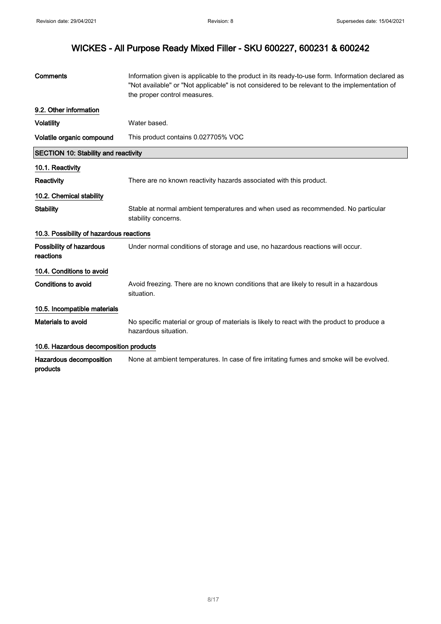| Comments                                    | Information given is applicable to the product in its ready-to-use form. Information declared as<br>"Not available" or "Not applicable" is not considered to be relevant to the implementation of<br>the proper control measures. |
|---------------------------------------------|-----------------------------------------------------------------------------------------------------------------------------------------------------------------------------------------------------------------------------------|
| 9.2. Other information                      |                                                                                                                                                                                                                                   |
| <b>Volatility</b>                           | Water based.                                                                                                                                                                                                                      |
| Volatile organic compound                   | This product contains 0.027705% VOC                                                                                                                                                                                               |
| <b>SECTION 10: Stability and reactivity</b> |                                                                                                                                                                                                                                   |
| 10.1. Reactivity                            |                                                                                                                                                                                                                                   |
| Reactivity                                  | There are no known reactivity hazards associated with this product.                                                                                                                                                               |
| 10.2. Chemical stability                    |                                                                                                                                                                                                                                   |
| <b>Stability</b>                            | Stable at normal ambient temperatures and when used as recommended. No particular<br>stability concerns.                                                                                                                          |
| 10.3. Possibility of hazardous reactions    |                                                                                                                                                                                                                                   |
| Possibility of hazardous<br>reactions       | Under normal conditions of storage and use, no hazardous reactions will occur.                                                                                                                                                    |
| 10.4. Conditions to avoid                   |                                                                                                                                                                                                                                   |
| <b>Conditions to avoid</b>                  | Avoid freezing. There are no known conditions that are likely to result in a hazardous<br>situation.                                                                                                                              |
| 10.5. Incompatible materials                |                                                                                                                                                                                                                                   |
| <b>Materials to avoid</b>                   | No specific material or group of materials is likely to react with the product to produce a<br>hazardous situation.                                                                                                               |
| 10.6. Hazardous decomposition products      |                                                                                                                                                                                                                                   |
| Hazardous decomposition<br>products         | None at ambient temperatures. In case of fire irritating fumes and smoke will be evolved.                                                                                                                                         |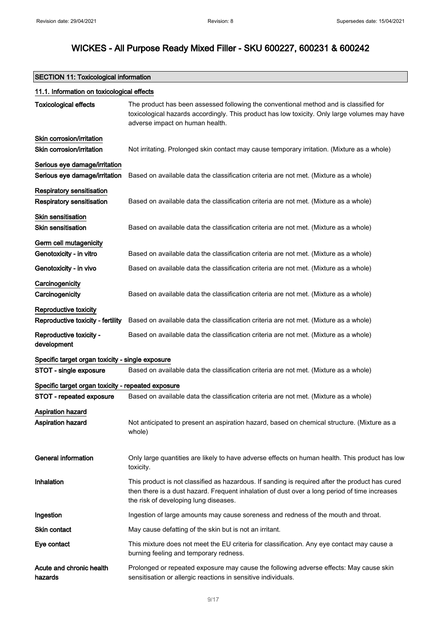$\mathsf{r}$ 

|  | SECTION 11: Toxicological information |
|--|---------------------------------------|
|--|---------------------------------------|

| 11.1. Information on toxicological effects                     |                                                                                                                                                                                                                                           |  |
|----------------------------------------------------------------|-------------------------------------------------------------------------------------------------------------------------------------------------------------------------------------------------------------------------------------------|--|
| <b>Toxicological effects</b>                                   | The product has been assessed following the conventional method and is classified for<br>toxicological hazards accordingly. This product has low toxicity. Only large volumes may have<br>adverse impact on human health.                 |  |
| Skin corrosion/irritation<br>Skin corrosion/irritation         | Not irritating. Prolonged skin contact may cause temporary irritation. (Mixture as a whole)                                                                                                                                               |  |
| Serious eye damage/irritation<br>Serious eye damage/irritation | Based on available data the classification criteria are not met. (Mixture as a whole)                                                                                                                                                     |  |
| Respiratory sensitisation<br>Respiratory sensitisation         | Based on available data the classification criteria are not met. (Mixture as a whole)                                                                                                                                                     |  |
| <b>Skin sensitisation</b><br><b>Skin sensitisation</b>         | Based on available data the classification criteria are not met. (Mixture as a whole)                                                                                                                                                     |  |
| Germ cell mutagenicity<br>Genotoxicity - in vitro              | Based on available data the classification criteria are not met. (Mixture as a whole)                                                                                                                                                     |  |
| Genotoxicity - in vivo                                         | Based on available data the classification criteria are not met. (Mixture as a whole)                                                                                                                                                     |  |
| Carcinogenicity<br>Carcinogenicity                             | Based on available data the classification criteria are not met. (Mixture as a whole)                                                                                                                                                     |  |
| Reproductive toxicity<br>Reproductive toxicity - fertility     | Based on available data the classification criteria are not met. (Mixture as a whole)                                                                                                                                                     |  |
| Reproductive toxicity -<br>development                         | Based on available data the classification criteria are not met. (Mixture as a whole)                                                                                                                                                     |  |
| Specific target organ toxicity - single exposure               |                                                                                                                                                                                                                                           |  |
| STOT - single exposure                                         | Based on available data the classification criteria are not met. (Mixture as a whole)                                                                                                                                                     |  |
| Specific target organ toxicity - repeated exposure             |                                                                                                                                                                                                                                           |  |
| STOT - repeated exposure                                       | Based on available data the classification criteria are not met. (Mixture as a whole)                                                                                                                                                     |  |
| Aspiration hazard<br>Aspiration hazard                         | Not anticipated to present an aspiration hazard, based on chemical structure. (Mixture as a<br>whole)                                                                                                                                     |  |
| <b>General information</b>                                     | Only large quantities are likely to have adverse effects on human health. This product has low<br>toxicity.                                                                                                                               |  |
| Inhalation                                                     | This product is not classified as hazardous. If sanding is required after the product has cured<br>then there is a dust hazard. Frequent inhalation of dust over a long period of time increases<br>the risk of developing lung diseases. |  |
| Ingestion                                                      | Ingestion of large amounts may cause soreness and redness of the mouth and throat.                                                                                                                                                        |  |
| <b>Skin contact</b>                                            | May cause defatting of the skin but is not an irritant.                                                                                                                                                                                   |  |
| Eye contact                                                    | This mixture does not meet the EU criteria for classification. Any eye contact may cause a<br>burning feeling and temporary redness.                                                                                                      |  |
| Acute and chronic health<br>hazards                            | Prolonged or repeated exposure may cause the following adverse effects: May cause skin<br>sensitisation or allergic reactions in sensitive individuals.                                                                                   |  |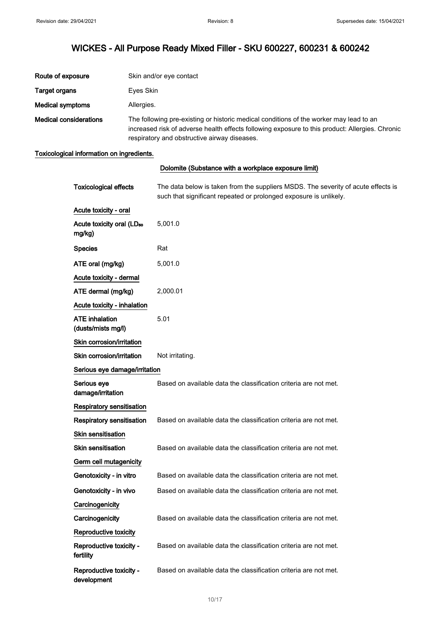| Route of exposure             | Skin and/or eye contact                                                                                                                                                                                                                   |
|-------------------------------|-------------------------------------------------------------------------------------------------------------------------------------------------------------------------------------------------------------------------------------------|
| Target organs                 | Eyes Skin                                                                                                                                                                                                                                 |
| <b>Medical symptoms</b>       | Allergies.                                                                                                                                                                                                                                |
| <b>Medical considerations</b> | The following pre-existing or historic medical conditions of the worker may lead to an<br>increased risk of adverse health effects following exposure to this product: Allergies. Chronic<br>respiratory and obstructive airway diseases. |

### Toxicological information on ingredients.

|                                                 | Dolomite (Substance with a workplace exposure limit)                                                                                                   |
|-------------------------------------------------|--------------------------------------------------------------------------------------------------------------------------------------------------------|
| <b>Toxicological effects</b>                    | The data below is taken from the suppliers MSDS. The severity of acute effects is<br>such that significant repeated or prolonged exposure is unlikely. |
| Acute toxicity - oral                           |                                                                                                                                                        |
| Acute toxicity oral (LD <sub>50</sub><br>mg/kg) | 5,001.0                                                                                                                                                |
| <b>Species</b>                                  | Rat                                                                                                                                                    |
| ATE oral (mg/kg)                                | 5,001.0                                                                                                                                                |
| Acute toxicity - dermal                         |                                                                                                                                                        |
| ATE dermal (mg/kg)                              | 2,000.01                                                                                                                                               |
| Acute toxicity - inhalation                     |                                                                                                                                                        |
| <b>ATE</b> inhalation<br>(dusts/mists mg/l)     | 5.01                                                                                                                                                   |
| Skin corrosion/irritation                       |                                                                                                                                                        |
| Skin corrosion/irritation                       | Not irritating.                                                                                                                                        |
| Serious eye damage/irritation                   |                                                                                                                                                        |
| Serious eye<br>damage/irritation                | Based on available data the classification criteria are not met.                                                                                       |
| Respiratory sensitisation                       |                                                                                                                                                        |
| <b>Respiratory sensitisation</b>                | Based on available data the classification criteria are not met.                                                                                       |
| Skin sensitisation                              |                                                                                                                                                        |
| <b>Skin sensitisation</b>                       | Based on available data the classification criteria are not met.                                                                                       |
| Germ cell mutagenicity                          |                                                                                                                                                        |
| Genotoxicity - in vitro                         | Based on available data the classification criteria are not met.                                                                                       |
| Genotoxicity - in vivo                          | Based on available data the classification criteria are not met.                                                                                       |
| Carcinogenicity                                 |                                                                                                                                                        |
| Carcinogenicity                                 | Based on available data the classification criteria are not met.                                                                                       |
| Reproductive toxicity                           |                                                                                                                                                        |
| Reproductive toxicity -<br>fertility            | Based on available data the classification criteria are not met.                                                                                       |
| Reproductive toxicity -<br>development          | Based on available data the classification criteria are not met.                                                                                       |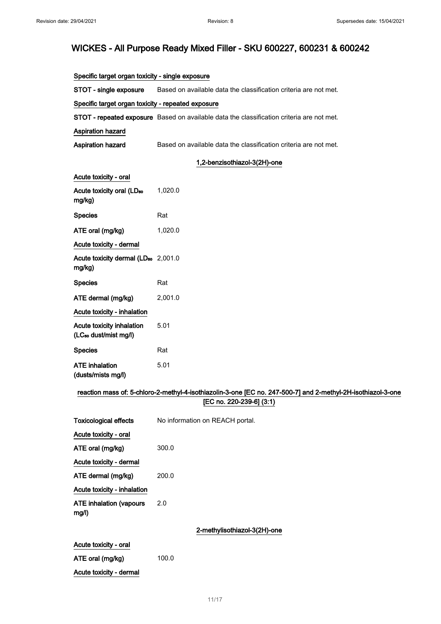### Specific target organ toxicity - single exposure

STOT - single exposure Based on available data the classification criteria are not met.

## Specific target organ toxicity - repeated exposure

STOT - repeated exposure Based on available data the classification criteria are not met.

# Aspiration hazard

Acute toxicity - dermal

Aspiration hazard Based on available data the classification criteria are not met.

#### 1,2-benzisothiazol-3(2H)-one

| Acute toxicity - oral                                          |                                                                                                              |
|----------------------------------------------------------------|--------------------------------------------------------------------------------------------------------------|
| Acute toxicity oral (LD <sub>50</sub><br>mg/kg)                | 1,020.0                                                                                                      |
| <b>Species</b>                                                 | Rat                                                                                                          |
| ATE oral (mg/kg)                                               | 1,020.0                                                                                                      |
| Acute toxicity - dermal                                        |                                                                                                              |
| Acute toxicity dermal (LD <sub>50</sub> 2,001.0<br>mg/kg)      |                                                                                                              |
| <b>Species</b>                                                 | Rat                                                                                                          |
| ATE dermal (mg/kg)                                             | 2,001.0                                                                                                      |
| Acute toxicity - inhalation                                    |                                                                                                              |
| Acute toxicity inhalation<br>(LC <sub>50</sub> dust/mist mg/l) | 5.01                                                                                                         |
| <b>Species</b>                                                 | Rat                                                                                                          |
| <b>ATE</b> inhalation<br>(dusts/mists mg/l)                    | 5.01                                                                                                         |
|                                                                | reaction mass of: 5-chloro-2-methyl-4-isothiazolin-3-one [EC no. 247-500-7] and 2-methyl-2H-isothiazol-3-one |
|                                                                | [EC no. 220-239-6] (3:1)                                                                                     |
| <b>Toxicological effects</b>                                   | No information on REACH portal.                                                                              |
| Acute toxicity - oral                                          |                                                                                                              |
| ATE oral (mg/kg)                                               | 300.0                                                                                                        |
| Acute toxicity - dermal                                        |                                                                                                              |
| ATE dermal (mg/kg)                                             | 200.0                                                                                                        |
| Acute toxicity - inhalation                                    |                                                                                                              |
| <b>ATE inhalation (vapours</b><br>mg/l)                        | 2.0                                                                                                          |
|                                                                | 2-methylisothiazol-3(2H)-one                                                                                 |
| Acute toxicity - oral                                          |                                                                                                              |
| ATE oral (mg/kg)                                               | 100.0                                                                                                        |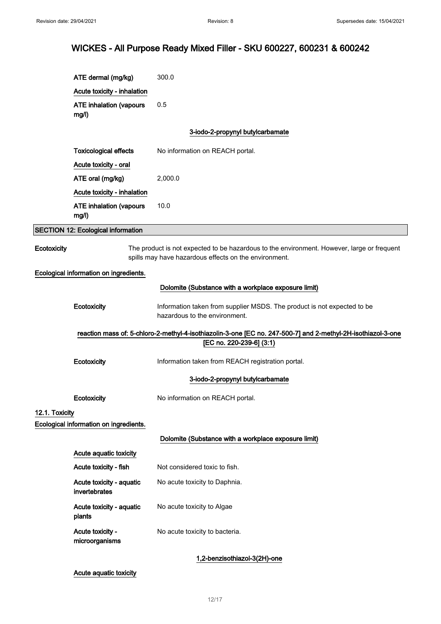|                | ATE dermal (mg/kg)                        | 300.0                                                                                                                                               |
|----------------|-------------------------------------------|-----------------------------------------------------------------------------------------------------------------------------------------------------|
|                | Acute toxicity - inhalation               |                                                                                                                                                     |
|                | <b>ATE inhalation (vapours</b><br>mg/l)   | 0.5                                                                                                                                                 |
|                |                                           | 3-iodo-2-propynyl butylcarbamate                                                                                                                    |
|                | <b>Toxicological effects</b>              | No information on REACH portal.                                                                                                                     |
|                | Acute toxicity - oral                     |                                                                                                                                                     |
|                | ATE oral (mg/kg)                          | 2,000.0                                                                                                                                             |
|                | Acute toxicity - inhalation               |                                                                                                                                                     |
|                | <b>ATE inhalation (vapours</b><br>mg/l)   | 10.0                                                                                                                                                |
|                | <b>SECTION 12: Ecological information</b> |                                                                                                                                                     |
| Ecotoxicity    |                                           | The product is not expected to be hazardous to the environment. However, large or frequent<br>spills may have hazardous effects on the environment. |
|                | Ecological information on ingredients.    |                                                                                                                                                     |
|                |                                           | Dolomite (Substance with a workplace exposure limit)                                                                                                |
|                | Ecotoxicity                               | Information taken from supplier MSDS. The product is not expected to be<br>hazardous to the environment.                                            |
|                |                                           | reaction mass of: 5-chloro-2-methyl-4-isothiazolin-3-one [EC no. 247-500-7] and 2-methyl-2H-isothiazol-3-one                                        |
|                |                                           | [EC no. 220-239-6] (3:1)                                                                                                                            |
|                | Ecotoxicity                               | Information taken from REACH registration portal.                                                                                                   |
|                |                                           | 3-iodo-2-propynyl butylcarbamate                                                                                                                    |
|                | Ecotoxicity                               | No information on REACH portal.                                                                                                                     |
| 12.1. Toxicity |                                           |                                                                                                                                                     |
|                | Ecological information on ingredients.    |                                                                                                                                                     |
|                |                                           | Dolomite (Substance with a workplace exposure limit)                                                                                                |
|                | Acute aquatic toxicity                    |                                                                                                                                                     |
|                | Acute toxicity - fish                     | Not considered toxic to fish.                                                                                                                       |
|                | Acute toxicity - aquatic<br>invertebrates | No acute toxicity to Daphnia.                                                                                                                       |
|                | Acute toxicity - aquatic<br>plants        | No acute toxicity to Algae                                                                                                                          |
|                | Acute toxicity -<br>microorganisms        | No acute toxicity to bacteria.                                                                                                                      |
|                |                                           | 1,2-benzisothiazol-3(2H)-one                                                                                                                        |
|                | Acute aquatic toxicity                    |                                                                                                                                                     |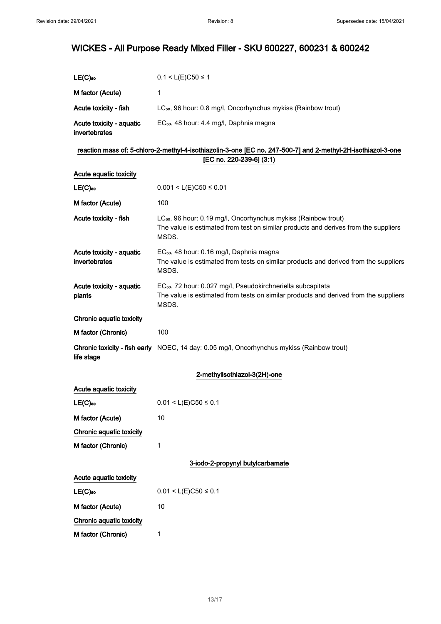| $LE(C)$ <sub>50</sub>                     | $0.1 < L(E)C50 \le 1$                                                                                                                                                      |
|-------------------------------------------|----------------------------------------------------------------------------------------------------------------------------------------------------------------------------|
| M factor (Acute)                          | 1                                                                                                                                                                          |
| Acute toxicity - fish                     | LC <sub>50</sub> , 96 hour: 0.8 mg/l, Oncorhynchus mykiss (Rainbow trout)                                                                                                  |
| Acute toxicity - aquatic<br>invertebrates | EC <sub>50</sub> , 48 hour: 4.4 mg/l, Daphnia magna                                                                                                                        |
|                                           | reaction mass of: 5-chloro-2-methyl-4-isothiazolin-3-one [EC no. 247-500-7] and 2-methyl-2H-isothiazol-3-one                                                               |
|                                           | [EC no. 220-239-6] (3:1)                                                                                                                                                   |
| Acute aquatic toxicity                    |                                                                                                                                                                            |
| $LE(C)$ <sub>50</sub>                     | $0.001 < L(E)C50 \le 0.01$                                                                                                                                                 |
| M factor (Acute)                          | 100                                                                                                                                                                        |
| Acute toxicity - fish                     | LC <sub>50</sub> , 96 hour: 0.19 mg/l, Oncorhynchus mykiss (Rainbow trout)<br>The value is estimated from test on similar products and derives from the suppliers<br>MSDS. |
| Acute toxicity - aquatic<br>invertebrates | EC <sub>50</sub> , 48 hour: 0.16 mg/l, Daphnia magna<br>The value is estimated from tests on similar products and derived from the suppliers<br>MSDS.                      |
| Acute toxicity - aquatic<br>plants        | EC <sub>50</sub> , 72 hour: 0.027 mg/l, Pseudokirchneriella subcapitata<br>The value is estimated from tests on similar products and derived from the suppliers<br>MSDS.   |
| Chronic aquatic toxicity                  |                                                                                                                                                                            |
| M factor (Chronic)                        | 100                                                                                                                                                                        |
| life stage                                | Chronic toxicity - fish early NOEC, 14 day: 0.05 mg/l, Oncorhynchus mykiss (Rainbow trout)                                                                                 |
|                                           | 2-methylisothiazol-3(2H)-one                                                                                                                                               |
| Acute aquatic toxicity                    |                                                                                                                                                                            |
| $LE(C)$ so                                | $0.01 < L(E)C50 \le 0.1$                                                                                                                                                   |
| M factor (Acute)                          | 10                                                                                                                                                                         |
| Chronic aquatic toxicity                  |                                                                                                                                                                            |
| M factor (Chronic)                        | 1                                                                                                                                                                          |
|                                           | 3-iodo-2-propynyl butylcarbamate                                                                                                                                           |
| Acute aquatic toxicity                    |                                                                                                                                                                            |
| $LE(C)$ so                                | $0.01 < L(E)C50 \le 0.1$                                                                                                                                                   |
| M factor (Acute)                          | 10                                                                                                                                                                         |
| Chronic aquatic toxicity                  |                                                                                                                                                                            |
| M factor (Chronic)                        | 1                                                                                                                                                                          |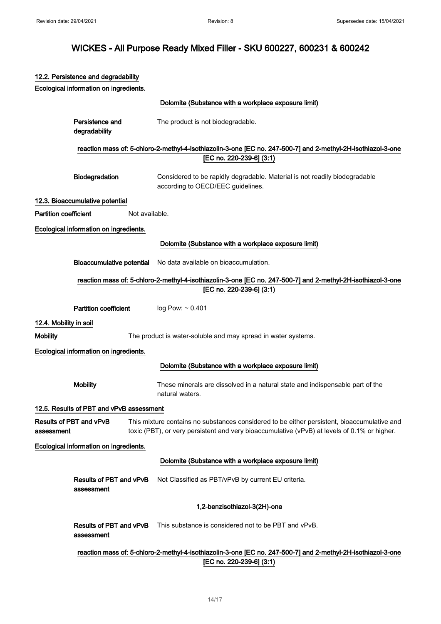|                              | 12.2. Persistence and degradability      |                |                                                                                                                                                                                             |
|------------------------------|------------------------------------------|----------------|---------------------------------------------------------------------------------------------------------------------------------------------------------------------------------------------|
|                              | Ecological information on ingredients.   |                |                                                                                                                                                                                             |
|                              |                                          |                | Dolomite (Substance with a workplace exposure limit)                                                                                                                                        |
|                              | Persistence and<br>degradability         |                | The product is not biodegradable.                                                                                                                                                           |
|                              |                                          |                | reaction mass of: 5-chloro-2-methyl-4-isothiazolin-3-one [EC no. 247-500-7] and 2-methyl-2H-isothiazol-3-one                                                                                |
|                              |                                          |                | [EC no. 220-239-6] (3:1)                                                                                                                                                                    |
|                              | Biodegradation                           |                | Considered to be rapidly degradable. Material is not readily biodegradable<br>according to OECD/EEC guidelines.                                                                             |
|                              | 12.3. Bioaccumulative potential          |                |                                                                                                                                                                                             |
| <b>Partition coefficient</b> |                                          | Not available. |                                                                                                                                                                                             |
|                              | Ecological information on ingredients.   |                |                                                                                                                                                                                             |
|                              |                                          |                | Dolomite (Substance with a workplace exposure limit)                                                                                                                                        |
|                              | <b>Bioaccumulative potential</b>         |                | No data available on bioaccumulation.                                                                                                                                                       |
|                              |                                          |                | reaction mass of: 5-chloro-2-methyl-4-isothiazolin-3-one [EC no. 247-500-7] and 2-methyl-2H-isothiazol-3-one                                                                                |
|                              |                                          |                | [EC no. 220-239-6] (3:1)                                                                                                                                                                    |
|                              | <b>Partition coefficient</b>             |                | $log$ Pow: $\sim$ 0.401                                                                                                                                                                     |
| 12.4. Mobility in soil       |                                          |                |                                                                                                                                                                                             |
| <b>Mobility</b>              |                                          |                | The product is water-soluble and may spread in water systems.                                                                                                                               |
|                              | Ecological information on ingredients.   |                |                                                                                                                                                                                             |
|                              |                                          |                | Dolomite (Substance with a workplace exposure limit)                                                                                                                                        |
|                              | <b>Mobility</b>                          |                | These minerals are dissolved in a natural state and indispensable part of the<br>natural waters.                                                                                            |
|                              | 12.5. Results of PBT and vPvB assessment |                |                                                                                                                                                                                             |
| assessment                   | Results of PBT and vPvB                  |                | This mixture contains no substances considered to be either persistent, bioaccumulative and<br>toxic (PBT), or very persistent and very bioaccumulative (vPvB) at levels of 0.1% or higher. |
|                              | Ecological information on ingredients.   |                |                                                                                                                                                                                             |
|                              |                                          |                | Dolomite (Substance with a workplace exposure limit)                                                                                                                                        |
|                              | Results of PBT and vPvB<br>assessment    |                | Not Classified as PBT/vPvB by current EU criteria.                                                                                                                                          |
|                              |                                          |                | 1,2-benzisothiazol-3(2H)-one                                                                                                                                                                |
|                              | Results of PBT and vPvB<br>assessment    |                | This substance is considered not to be PBT and vPvB.                                                                                                                                        |
|                              |                                          |                | reaction mass of: 5-chloro-2-methyl-4-isothiazolin-3-one [EC no. 247-500-7] and 2-methyl-2H-isothiazol-3-one                                                                                |
|                              |                                          |                | [EC no. 220-239-6] (3:1)                                                                                                                                                                    |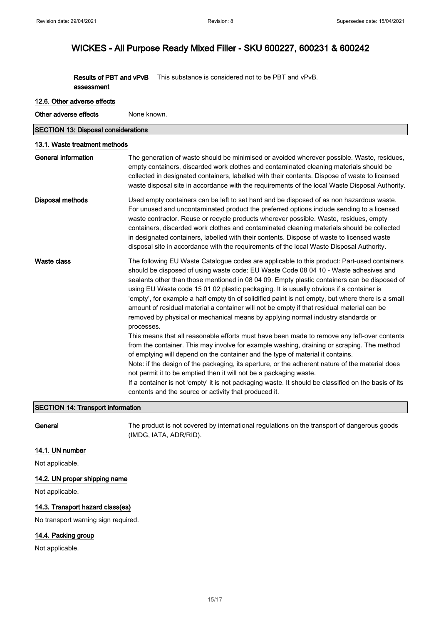Results of PBT and vPvB assessment This substance is considered not to be PBT and vPvB.

# 12.6. Other adverse effects

Other adverse effects None known.

| <b>SECTION 13: Disposal considerations</b> |                                                                                                                                                                                                                                                                                                                                                                                                                                                                                                                                                                                                                                                                                                                                                                                                                                                                                                                                                                                                                                                                                                                                                                                                                                                                                                               |  |
|--------------------------------------------|---------------------------------------------------------------------------------------------------------------------------------------------------------------------------------------------------------------------------------------------------------------------------------------------------------------------------------------------------------------------------------------------------------------------------------------------------------------------------------------------------------------------------------------------------------------------------------------------------------------------------------------------------------------------------------------------------------------------------------------------------------------------------------------------------------------------------------------------------------------------------------------------------------------------------------------------------------------------------------------------------------------------------------------------------------------------------------------------------------------------------------------------------------------------------------------------------------------------------------------------------------------------------------------------------------------|--|
| 13.1. Waste treatment methods              |                                                                                                                                                                                                                                                                                                                                                                                                                                                                                                                                                                                                                                                                                                                                                                                                                                                                                                                                                                                                                                                                                                                                                                                                                                                                                                               |  |
| <b>General information</b>                 | The generation of waste should be minimised or avoided wherever possible. Waste, residues,<br>empty containers, discarded work clothes and contaminated cleaning materials should be<br>collected in designated containers, labelled with their contents. Dispose of waste to licensed<br>waste disposal site in accordance with the requirements of the local Waste Disposal Authority.                                                                                                                                                                                                                                                                                                                                                                                                                                                                                                                                                                                                                                                                                                                                                                                                                                                                                                                      |  |
| Disposal methods                           | Used empty containers can be left to set hard and be disposed of as non hazardous waste.<br>For unused and uncontaminated product the preferred options include sending to a licensed<br>waste contractor. Reuse or recycle products wherever possible. Waste, residues, empty<br>containers, discarded work clothes and contaminated cleaning materials should be collected<br>in designated containers, labelled with their contents. Dispose of waste to licensed waste<br>disposal site in accordance with the requirements of the local Waste Disposal Authority.                                                                                                                                                                                                                                                                                                                                                                                                                                                                                                                                                                                                                                                                                                                                        |  |
| Waste class                                | The following EU Waste Catalogue codes are applicable to this product: Part-used containers<br>should be disposed of using waste code: EU Waste Code 08 04 10 - Waste adhesives and<br>sealants other than those mentioned in 08 04 09. Empty plastic containers can be disposed of<br>using EU Waste code 15 01 02 plastic packaging. It is usually obvious if a container is<br>'empty', for example a half empty tin of solidified paint is not empty, but where there is a small<br>amount of residual material a container will not be empty if that residual material can be<br>removed by physical or mechanical means by applying normal industry standards or<br>processes.<br>This means that all reasonable efforts must have been made to remove any left-over contents<br>from the container. This may involve for example washing, draining or scraping. The method<br>of emptying will depend on the container and the type of material it contains.<br>Note: if the design of the packaging, its aperture, or the adherent nature of the material does<br>not permit it to be emptied then it will not be a packaging waste.<br>If a container is not 'empty' it is not packaging waste. It should be classified on the basis of its<br>contents and the source or activity that produced it. |  |

# SECTION 14: Transport information

General The product is not covered by international regulations on the transport of dangerous goods (IMDG, IATA, ADR/RID).

### 14.1. UN number

Not applicable.

### 14.2. UN proper shipping name

Not applicable.

### 14.3. Transport hazard class(es)

No transport warning sign required.

# 14.4. Packing group

Not applicable.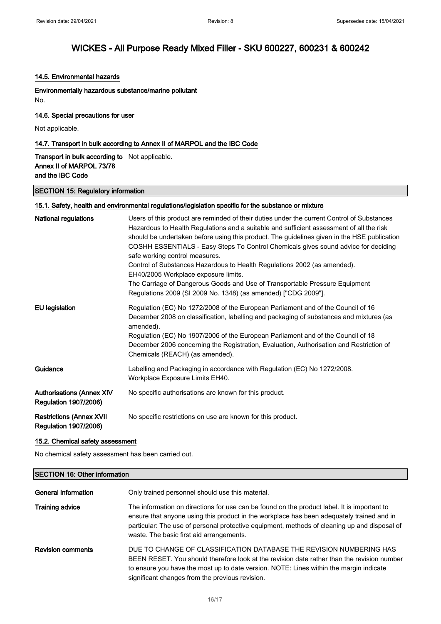### 14.5. Environmental hazards

Environmentally hazardous substance/marine pollutant No.

14.6. Special precautions for user

Not applicable.

### 14.7. Transport in bulk according to Annex II of MARPOL and the IBC Code

# Transport in bulk according to Not applicable. Annex II of MARPOL 73/78 and the IBC Code

### SECTION 15: Regulatory information

### 15.1. Safety, health and environmental regulations/legislation specific for the substance or mixture

| National regulations                                             | Users of this product are reminded of their duties under the current Control of Substances<br>Hazardous to Health Regulations and a suitable and sufficient assessment of all the risk<br>should be undertaken before using this product. The guidelines given in the HSE publication<br>COSHH ESSENTIALS - Easy Steps To Control Chemicals gives sound advice for deciding<br>safe working control measures.<br>Control of Substances Hazardous to Health Regulations 2002 (as amended).<br>EH40/2005 Workplace exposure limits.<br>The Carriage of Dangerous Goods and Use of Transportable Pressure Equipment<br>Regulations 2009 (SI 2009 No. 1348) (as amended) ["CDG 2009"]. |
|------------------------------------------------------------------|------------------------------------------------------------------------------------------------------------------------------------------------------------------------------------------------------------------------------------------------------------------------------------------------------------------------------------------------------------------------------------------------------------------------------------------------------------------------------------------------------------------------------------------------------------------------------------------------------------------------------------------------------------------------------------|
| <b>EU</b> legislation                                            | Regulation (EC) No 1272/2008 of the European Parliament and of the Council of 16<br>December 2008 on classification, labelling and packaging of substances and mixtures (as<br>amended).<br>Regulation (EC) No 1907/2006 of the European Parliament and of the Council of 18<br>December 2006 concerning the Registration, Evaluation, Authorisation and Restriction of<br>Chemicals (REACH) (as amended).                                                                                                                                                                                                                                                                         |
| Guidance                                                         | Labelling and Packaging in accordance with Regulation (EC) No 1272/2008.<br>Workplace Exposure Limits EH40.                                                                                                                                                                                                                                                                                                                                                                                                                                                                                                                                                                        |
| <b>Authorisations (Annex XIV</b><br><b>Regulation 1907/2006)</b> | No specific authorisations are known for this product.                                                                                                                                                                                                                                                                                                                                                                                                                                                                                                                                                                                                                             |
| <b>Restrictions (Annex XVII</b><br><b>Regulation 1907/2006)</b>  | No specific restrictions on use are known for this product.                                                                                                                                                                                                                                                                                                                                                                                                                                                                                                                                                                                                                        |

### 15.2. Chemical safety assessment

No chemical safety assessment has been carried out.

### SECTION 16: Other information

| General information      | Only trained personnel should use this material.                                                                                                                                                                                                                                                                                     |
|--------------------------|--------------------------------------------------------------------------------------------------------------------------------------------------------------------------------------------------------------------------------------------------------------------------------------------------------------------------------------|
| <b>Training advice</b>   | The information on directions for use can be found on the product label. It is important to<br>ensure that anyone using this product in the workplace has been adequately trained and in<br>particular: The use of personal protective equipment, methods of cleaning up and disposal of<br>waste. The basic first aid arrangements. |
| <b>Revision comments</b> | DUE TO CHANGE OF CLASSIFICATION DATABASE THE REVISION NUMBERING HAS<br>BEEN RESET. You should therefore look at the revision date rather than the revision number<br>to ensure you have the most up to date version. NOTE: Lines within the margin indicate<br>significant changes from the previous revision.                       |